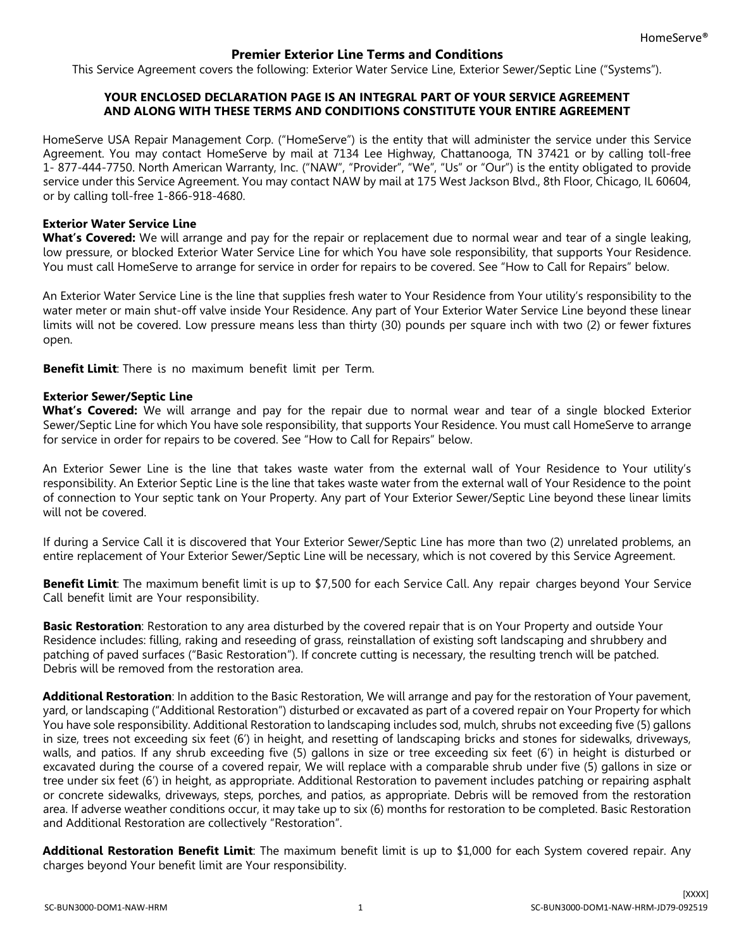# **Premier Exterior Line Terms and Conditions**

This Service Agreement covers the following: Exterior Water Service Line, Exterior Sewer/Septic Line ("Systems").

## **YOUR ENCLOSED DECLARATION PAGE IS AN INTEGRAL PART OF YOUR SERVICE AGREEMENT AND ALONG WITH THESE TERMS AND CONDITIONS CONSTITUTE YOUR ENTIRE AGREEMENT**

HomeServe USA Repair Management Corp. ("HomeServe") is the entity that will administer the service under this Service Agreement. You may contact HomeServe by mail at 7134 Lee Highway, Chattanooga, TN 37421 or by calling toll-free 1- 877-444-7750. North American Warranty, Inc. ("NAW", "Provider", "We", "Us" or "Our") is the entity obligated to provide service under this Service Agreement. You may contact NAW by mail at 175 West Jackson Blvd., 8th Floor, Chicago, IL 60604, or by calling toll-free 1-866-918-4680.

### **Exterior Water Service Line**

**What's Covered:** We will arrange and pay for the repair or replacement due to normal wear and tear of a single leaking, low pressure, or blocked Exterior Water Service Line for which You have sole responsibility, that supports Your Residence. You must call HomeServe to arrange for service in order for repairs to be covered. See "How to Call for Repairs" below.

An Exterior Water Service Line is the line that supplies fresh water to Your Residence from Your utility's responsibility to the water meter or main shut-off valve inside Your Residence. Any part of Your Exterior Water Service Line beyond these linear limits will not be covered. Low pressure means less than thirty (30) pounds per square inch with two (2) or fewer fixtures open.

**Benefit Limit**: There is no maximum benefit limit per Term.

#### **Exterior Sewer/Septic Line**

**What's Covered:** We will arrange and pay for the repair due to normal wear and tear of a single blocked Exterior Sewer/Septic Line for which You have sole responsibility, that supports Your Residence. You must call HomeServe to arrange for service in order for repairs to be covered. See "How to Call for Repairs" below.

An Exterior Sewer Line is the line that takes waste water from the external wall of Your Residence to Your utility's responsibility. An Exterior Septic Line is the line that takes waste water from the external wall of Your Residence to the point of connection to Your septic tank on Your Property. Any part of Your Exterior Sewer/Septic Line beyond these linear limits will not be covered.

If during a Service Call it is discovered that Your Exterior Sewer/Septic Line has more than two (2) unrelated problems, an entire replacement of Your Exterior Sewer/Septic Line will be necessary, which is not covered by this Service Agreement.

**Benefit Limit**: The maximum benefit limit is up to \$7,500 for each Service Call. Any repair charges beyond Your Service Call benefit limit are Your responsibility.

**Basic Restoration**: Restoration to any area disturbed by the covered repair that is on Your Property and outside Your Residence includes: filling, raking and reseeding of grass, reinstallation of existing soft landscaping and shrubbery and patching of paved surfaces ("Basic Restoration"). If concrete cutting is necessary, the resulting trench will be patched. Debris will be removed from the restoration area.

**Additional Restoration**: In addition to the Basic Restoration, We will arrange and pay for the restoration of Your pavement, yard, or landscaping ("Additional Restoration") disturbed or excavated as part of a covered repair on Your Property for which You have sole responsibility. Additional Restoration to landscaping includes sod, mulch, shrubs not exceeding five (5) gallons in size, trees not exceeding six feet (6') in height, and resetting of landscaping bricks and stones for sidewalks, driveways, walls, and patios. If any shrub exceeding five (5) gallons in size or tree exceeding six feet (6') in height is disturbed or excavated during the course of a covered repair, We will replace with a comparable shrub under five (5) gallons in size or tree under six feet (6') in height, as appropriate. Additional Restoration to pavement includes patching or repairing asphalt or concrete sidewalks, driveways, steps, porches, and patios, as appropriate. Debris will be removed from the restoration area. If adverse weather conditions occur, it may take up to six (6) months for restoration to be completed. Basic Restoration and Additional Restoration are collectively "Restoration".

**Additional Restoration Benefit Limit**: The maximum benefit limit is up to \$1,000 for each System covered repair. Any charges beyond Your benefit limit are Your responsibility.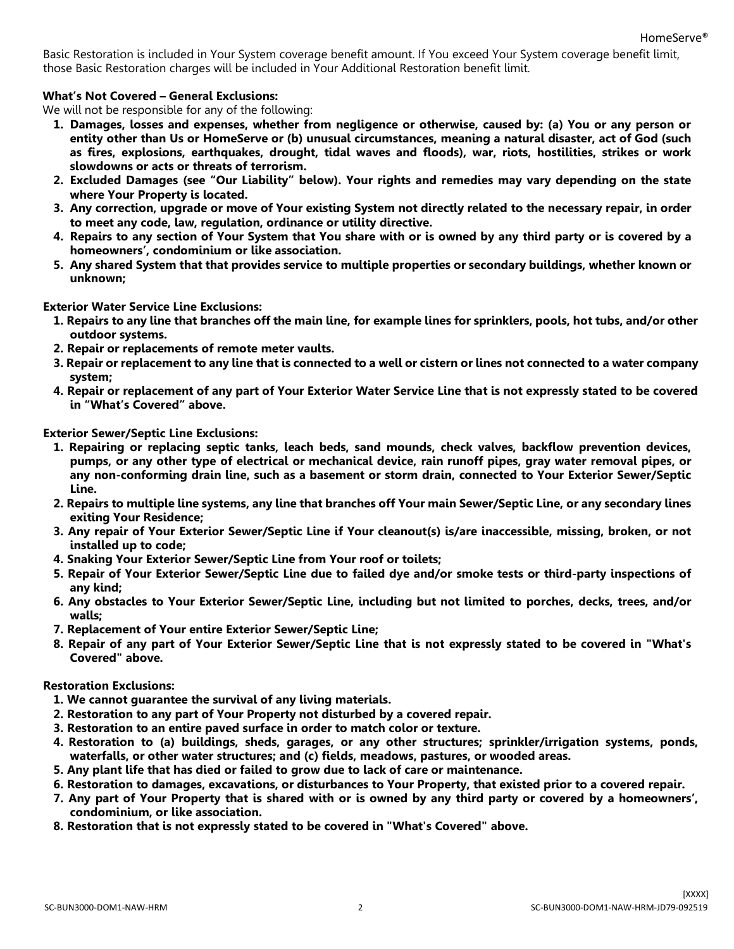Basic Restoration is included in Your System coverage benefit amount. If You exceed Your System coverage benefit limit, those Basic Restoration charges will be included in Your Additional Restoration benefit limit.

### **What's Not Covered – General Exclusions:**

We will not be responsible for any of the following:

- **1. Damages, losses and expenses, whether from negligence or otherwise, caused by: (a) You or any person or entity other than Us or HomeServe or (b) unusual circumstances, meaning a natural disaster, act of God (such as fires, explosions, earthquakes, drought, tidal waves and floods), war, riots, hostilities, strikes or work slowdowns or acts or threats of terrorism.**
- **2. Excluded Damages (see "Our Liability" below). Your rights and remedies may vary depending on the state where Your Property is located.**
- **3. Any correction, upgrade or move of Your existing System not directly related to the necessary repair, in order to meet any code, law, regulation, ordinance or utility directive.**
- **4. Repairs to any section of Your System that You share with or is owned by any third party or is covered by a homeowners', condominium or like association.**
- **5. Any shared System that that provides service to multiple properties or secondary buildings, whether known or unknown;**

**Exterior Water Service Line Exclusions:** 

- **1. Repairs to any line that branches off the main line, for example lines for sprinklers, pools, hot tubs, and/or other outdoor systems.**
- **2. Repair or replacements of remote meter vaults.**
- **3. Repair or replacement to any line that is connected to a well or cistern or lines not connected to a water company system;**
- **4. Repair or replacement of any part of Your Exterior Water Service Line that is not expressly stated to be covered in "What's Covered" above.**

**Exterior Sewer/Septic Line Exclusions:** 

- **1. Repairing or replacing septic tanks, leach beds, sand mounds, check valves, backflow prevention devices, pumps, or any other type of electrical or mechanical device, rain runoff pipes, gray water removal pipes, or any non-conforming drain line, such as a basement or storm drain, connected to Your Exterior Sewer/Septic Line.**
- **2. Repairs to multiple line systems, any line that branches off Your main Sewer/Septic Line, or any secondary lines exiting Your Residence;**
- **3. Any repair of Your Exterior Sewer/Septic Line if Your cleanout(s) is/are inaccessible, missing, broken, or not installed up to code;**
- **4. Snaking Your Exterior Sewer/Septic Line from Your roof or toilets;**
- **5. Repair of Your Exterior Sewer/Septic Line due to failed dye and/or smoke tests or third-party inspections of any kind;**
- **6. Any obstacles to Your Exterior Sewer/Septic Line, including but not limited to porches, decks, trees, and/or walls;**
- **7. Replacement of Your entire Exterior Sewer/Septic Line;**
- **8. Repair of any part of Your Exterior Sewer/Septic Line that is not expressly stated to be covered in "What's Covered" above.**

**Restoration Exclusions:**

- **1. We cannot guarantee the survival of any living materials.**
- **2. Restoration to any part of Your Property not disturbed by a covered repair.**
- **3. Restoration to an entire paved surface in order to match color or texture.**
- **4. Restoration to (a) buildings, sheds, garages, or any other structures; sprinkler/irrigation systems, ponds, waterfalls, or other water structures; and (c) fields, meadows, pastures, or wooded areas.**
- **5. Any plant life that has died or failed to grow due to lack of care or maintenance.**
- **6. Restoration to damages, excavations, or disturbances to Your Property, that existed prior to a covered repair.**
- **7. Any part of Your Property that is shared with or is owned by any third party or covered by a homeowners', condominium, or like association.**
- **8. Restoration that is not expressly stated to be covered in "What's Covered" above.**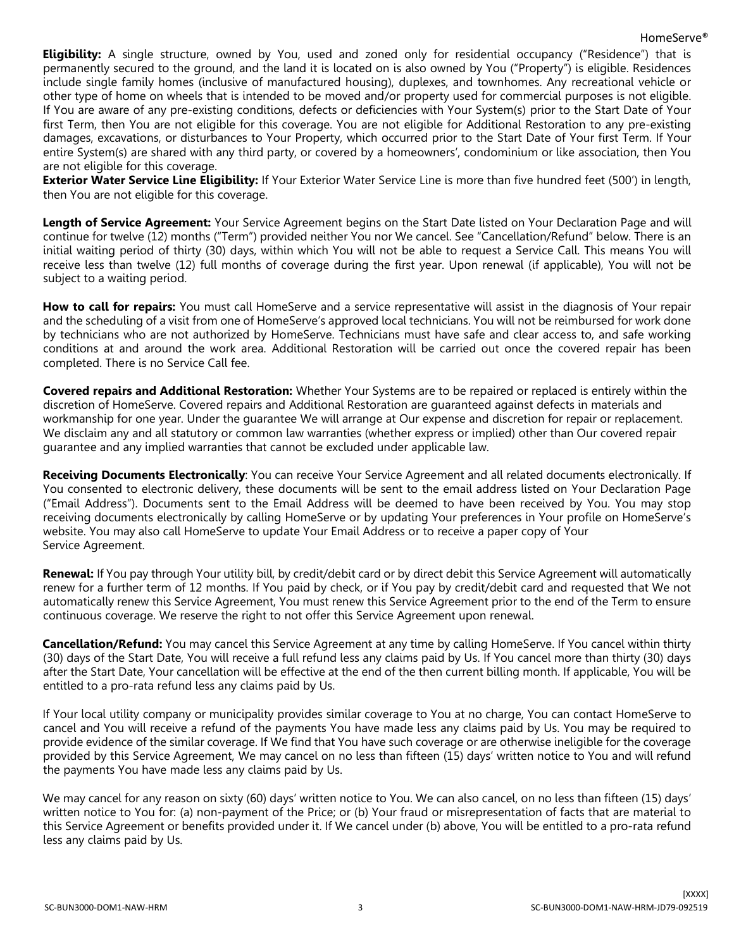**Eligibility:** A single structure, owned by You, used and zoned only for residential occupancy ("Residence") that is permanently secured to the ground, and the land it is located on is also owned by You ("Property") is eligible. Residences include single family homes (inclusive of manufactured housing), duplexes, and townhomes. Any recreational vehicle or other type of home on wheels that is intended to be moved and/or property used for commercial purposes is not eligible. If You are aware of any pre-existing conditions, defects or deficiencies with Your System(s) prior to the Start Date of Your first Term, then You are not eligible for this coverage. You are not eligible for Additional Restoration to any pre-existing damages, excavations, or disturbances to Your Property, which occurred prior to the Start Date of Your first Term. If Your entire System(s) are shared with any third party, or covered by a homeowners', condominium or like association, then You are not eligible for this coverage.

**Exterior Water Service Line Eligibility:** If Your Exterior Water Service Line is more than five hundred feet (500') in length, then You are not eligible for this coverage.

**Length of Service Agreement:** Your Service Agreement begins on the Start Date listed on Your Declaration Page and will continue for twelve (12) months ("Term") provided neither You nor We cancel. See "Cancellation/Refund" below. There is an initial waiting period of thirty (30) days, within which You will not be able to request a Service Call. This means You will receive less than twelve (12) full months of coverage during the first year. Upon renewal (if applicable), You will not be subject to a waiting period.

**How to call for repairs:** You must call HomeServe and a service representative will assist in the diagnosis of Your repair and the scheduling of a visit from one of HomeServe's approved local technicians. You will not be reimbursed for work done by technicians who are not authorized by HomeServe. Technicians must have safe and clear access to, and safe working conditions at and around the work area. Additional Restoration will be carried out once the covered repair has been completed. There is no Service Call fee.

**Covered repairs and Additional Restoration:** Whether Your Systems are to be repaired or replaced is entirely within the discretion of HomeServe. Covered repairs and Additional Restoration are guaranteed against defects in materials and workmanship for one year. Under the guarantee We will arrange at Our expense and discretion for repair or replacement. We disclaim any and all statutory or common law warranties (whether express or implied) other than Our covered repair guarantee and any implied warranties that cannot be excluded under applicable law.

**Receiving Documents Electronically**: You can receive Your Service Agreement and all related documents electronically. If You consented to electronic delivery, these documents will be sent to the email address listed on Your Declaration Page ("Email Address"). Documents sent to the Email Address will be deemed to have been received by You. You may stop receiving documents electronically by calling HomeServe or by updating Your preferences in Your profile on HomeServe's website. You may also call HomeServe to update Your Email Address or to receive a paper copy of Your Service Agreement.

**Renewal:** If You pay through Your utility bill, by credit/debit card or by direct debit this Service Agreement will automatically renew for a further term of 12 months. If You paid by check, or if You pay by credit/debit card and requested that We not automatically renew this Service Agreement, You must renew this Service Agreement prior to the end of the Term to ensure continuous coverage. We reserve the right to not offer this Service Agreement upon renewal.

**Cancellation/Refund:** You may cancel this Service Agreement at any time by calling HomeServe. If You cancel within thirty (30) days of the Start Date, You will receive a full refund less any claims paid by Us. If You cancel more than thirty (30) days after the Start Date, Your cancellation will be effective at the end of the then current billing month. If applicable, You will be entitled to a pro-rata refund less any claims paid by Us.

If Your local utility company or municipality provides similar coverage to You at no charge, You can contact HomeServe to cancel and You will receive a refund of the payments You have made less any claims paid by Us. You may be required to provide evidence of the similar coverage. If We find that You have such coverage or are otherwise ineligible for the coverage provided by this Service Agreement, We may cancel on no less than fifteen (15) days' written notice to You and will refund the payments You have made less any claims paid by Us.

We may cancel for any reason on sixty (60) days' written notice to You. We can also cancel, on no less than fifteen (15) days' written notice to You for: (a) non-payment of the Price; or (b) Your fraud or misrepresentation of facts that are material to this Service Agreement or benefits provided under it. If We cancel under (b) above, You will be entitled to a pro-rata refund less any claims paid by Us.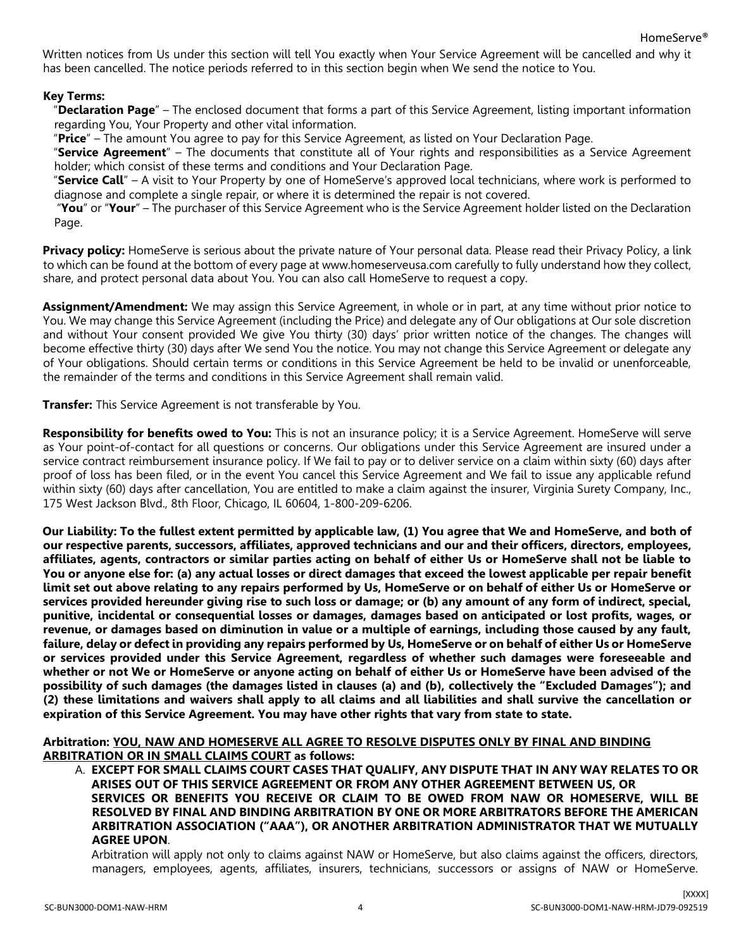Written notices from Us under this section will tell You exactly when Your Service Agreement will be cancelled and why it has been cancelled. The notice periods referred to in this section begin when We send the notice to You.

## **Key Terms:**

"**Declaration Page**" – The enclosed document that forms a part of this Service Agreement, listing important information regarding You, Your Property and other vital information.

"**Price**" – The amount You agree to pay for this Service Agreement, as listed on Your Declaration Page.

"**Service Agreement**" – The documents that constitute all of Your rights and responsibilities as a Service Agreement holder; which consist of these terms and conditions and Your Declaration Page.

"**Service Call**" – A visit to Your Property by one of HomeServe's approved local technicians, where work is performed to diagnose and complete a single repair, or where it is determined the repair is not covered.

"**You**" or "**Your**" – The purchaser of this Service Agreement who is the Service Agreement holder listed on the Declaration Page.

**Privacy policy:** HomeServe is serious about the private nature of Your personal data. Please read their Privacy Policy, a link to which can be found at the bottom of every page at www.ho[meserveusa.com](http://www.homeserveusa.com/) carefully to fully understand how they collect, share, and protect personal data about You. You can also call HomeServe to request a copy.

**Assignment/Amendment:** We may assign this Service Agreement, in whole or in part, at any time without prior notice to You. We may change this Service Agreement (including the Price) and delegate any of Our obligations at Our sole discretion and without Your consent provided We give You thirty (30) days' prior written notice of the changes. The changes will become effective thirty (30) days after We send You the notice. You may not change this Service Agreement or delegate any of Your obligations. Should certain terms or conditions in this Service Agreement be held to be invalid or unenforceable, the remainder of the terms and conditions in this Service Agreement shall remain valid.

**Transfer:** This Service Agreement is not transferable by You.

**Responsibility for benefits owed to You:** This is not an insurance policy; it is a Service Agreement. HomeServe will serve as Your point-of-contact for all questions or concerns. Our obligations under this Service Agreement are insured under a service contract reimbursement insurance policy. If We fail to pay or to deliver service on a claim within sixty (60) days after proof of loss has been filed, or in the event You cancel this Service Agreement and We fail to issue any applicable refund within sixty (60) days after cancellation, You are entitled to make a claim against the insurer, Virginia Surety Company, Inc., 175 West Jackson Blvd., 8th Floor, Chicago, IL 60604, 1-800-209-6206.

**Our Liability: To the fullest extent permitted by applicable law, (1) You agree that We and HomeServe, and both of our respective parents, successors, affiliates, approved technicians and our and their officers, directors, employees, affiliates, agents, contractors or similar parties acting on behalf of either Us or HomeServe shall not be liable to You or anyone else for: (a) any actual losses or direct damages that exceed the lowest applicable per repair benefit limit set out above relating to any repairs performed by Us, HomeServe or on behalf of either Us or HomeServe or services provided hereunder giving rise to such loss or damage; or (b) any amount of any form of indirect, special, punitive, incidental or consequential losses or damages, damages based on anticipated or lost profits, wages, or revenue, or damages based on diminution in value or a multiple of earnings, including those caused by any fault, failure, delay or defect in providing any repairs performed by Us, HomeServe or on behalf of either Us or HomeServe or services provided under this Service Agreement, regardless of whether such damages were foreseeable and whether or not We or HomeServe or anyone acting on behalf of either Us or HomeServe have been advised of the possibility of such damages (the damages listed in clauses (a) and (b), collectively the "Excluded Damages"); and (2) these limitations and waivers shall apply to all claims and all liabilities and shall survive the cancellation or expiration of this Service Agreement. You may have other rights that vary from state to state.**

**Arbitration: YOU, NAW AND HOMESERVE ALL AGREE TO RESOLVE DISPUTES ONLY BY FINAL AND BINDING ARBITRATION OR IN SMALL CLAIMS COURT as follows:**

A. **EXCEPT FOR SMALL CLAIMS COURT CASES THAT QUALIFY, ANY DISPUTE THAT IN ANY WAY RELATES TO OR ARISES OUT OF THIS SERVICE AGREEMENT OR FROM ANY OTHER AGREEMENT BETWEEN US, OR SERVICES OR BENEFITS YOU RECEIVE OR CLAIM TO BE OWED FROM NAW OR HOMESERVE, WILL BE RESOLVED BY FINAL AND BINDING ARBITRATION BY ONE OR MORE ARBITRATORS BEFORE THE AMERICAN ARBITRATION ASSOCIATION ("AAA"), OR ANOTHER ARBITRATION ADMINISTRATOR THAT WE MUTUALLY AGREE UPON**.

Arbitration will apply not only to claims against NAW or HomeServe, but also claims against the officers, directors, managers, employees, agents, affiliates, insurers, technicians, successors or assigns of NAW or HomeServe.